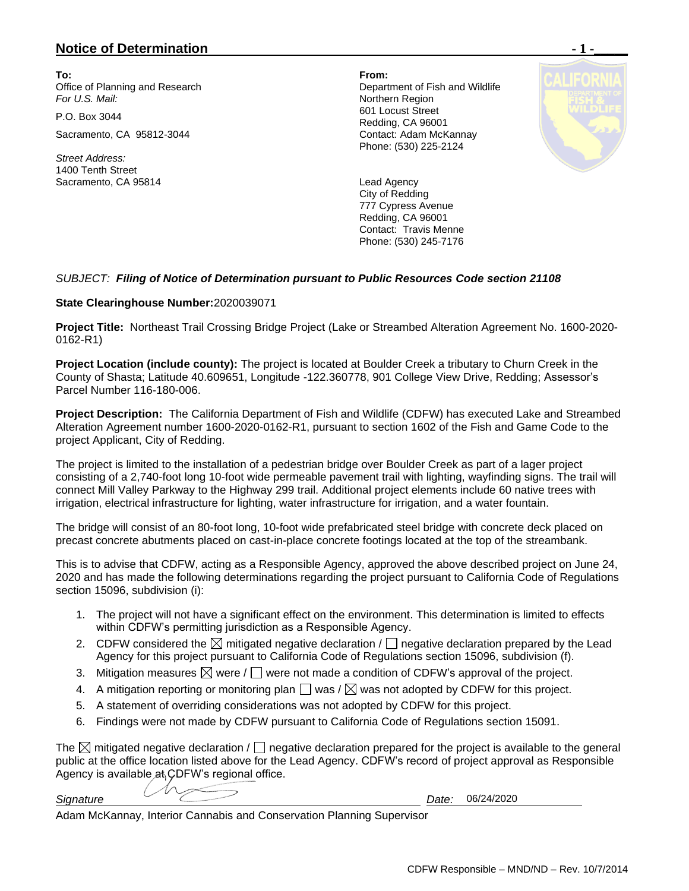## **Notice of Determination**  $\blacksquare$  **1 -**

**To: From:**  Office of Planning and Research Department of Fish and Wildlife For U.S. Mail: **Northern Region** 

Sacramento, CA 95812-3044 Contact: Adam McKannay

*Street Address:* 1400 Tenth Street Sacramento, CA 95814 **Lead Agency** 

P.O. Box 3044 601 Locust Street Redding, CA 96001 Phone: (530) 225-2124



City of Redding 777 Cypress Avenue Redding, CA 96001 Contact: Travis Menne Phone: (530) 245-7176

## *SUBJECT: Filing of Notice of Determination pursuant to Public Resources Code section 21108*

## **State Clearinghouse Number:**2020039071

**Project Title:** Northeast Trail Crossing Bridge Project (Lake or Streambed Alteration Agreement No. 1600-2020- 0162-R1)

**Project Location (include county):** The project is located at Boulder Creek a tributary to Churn Creek in the County of Shasta; Latitude 40.609651, Longitude -122.360778, 901 College View Drive, Redding; Assessor's Parcel Number 116-180-006.

**Project Description:** The California Department of Fish and Wildlife (CDFW) has executed Lake and Streambed Alteration Agreement number 1600-2020-0162-R1, pursuant to section 1602 of the Fish and Game Code to the project Applicant, City of Redding.

The project is limited to the installation of a pedestrian bridge over Boulder Creek as part of a lager project consisting of a 2,740-foot long 10-foot wide permeable pavement trail with lighting, wayfinding signs. The trail will connect Mill Valley Parkway to the Highway 299 trail. Additional project elements include 60 native trees with irrigation, electrical infrastructure for lighting, water infrastructure for irrigation, and a water fountain.

The bridge will consist of an 80-foot long, 10-foot wide prefabricated steel bridge with concrete deck placed on precast concrete abutments placed on cast-in-place concrete footings located at the top of the streambank.

This is to advise that CDFW, acting as a Responsible Agency, approved the above described project on June 24, 2020 and has made the following determinations regarding the project pursuant to California Code of Regulations section 15096, subdivision (i):

- 1. The project will not have a significant effect on the environment. This determination is limited to effects within CDFW's permitting jurisdiction as a Responsible Agency.
- 2. CDFW considered the  $\boxtimes$  mitigated negative declaration /  $\Box$  negative declaration prepared by the Lead Agency for this project pursuant to California Code of Regulations section 15096, subdivision (f).
- 3. Mitigation measures  $\boxtimes$  were /  $\Box$  were not made a condition of CDFW's approval of the project.
- 4. A mitigation reporting or monitoring plan  $\Box$  was  $\land \boxtimes$  was not adopted by CDFW for this project.
- 5. A statement of overriding considerations was not adopted by CDFW for this project.
- 6. Findings were not made by CDFW pursuant to California Code of Regulations section 15091.

The  $\boxtimes$  mitigated negative declaration /  $\Box$  negative declaration prepared for the project is available to the general public at the office location listed above for the Lead Agency. CDFW's record of project approval as Responsible Agency is available at CDFW's regional office.

*Signature Date:*

06/24/2020

Adam McKannay, Interior Cannabis and Conservation Planning Supervisor